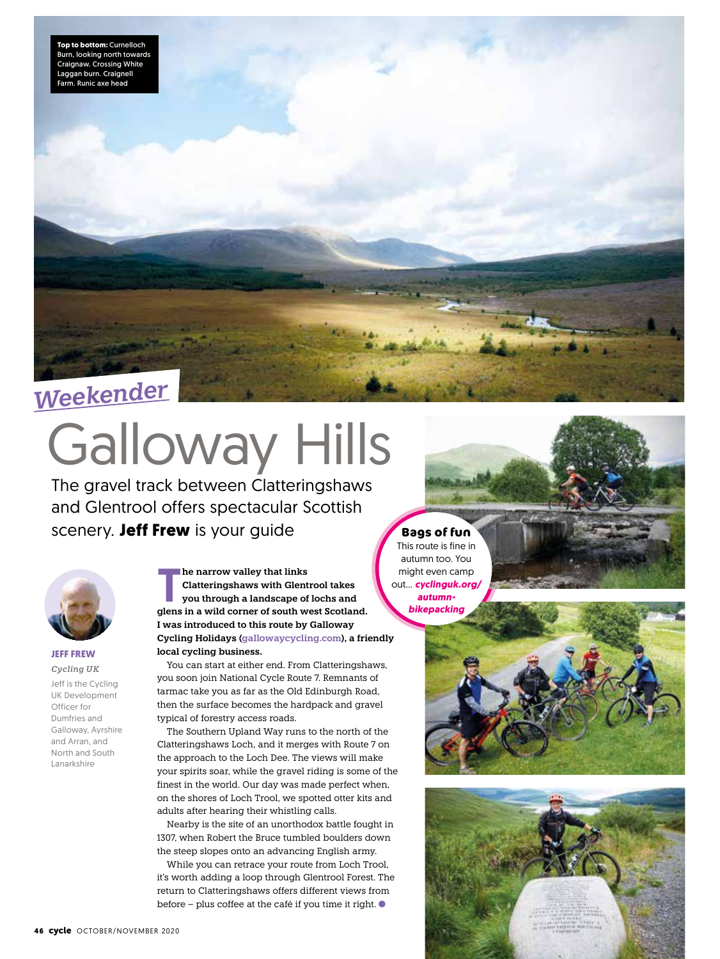

# Galloway Hills

The gravel track between Clatteringshaws and Glentrool offers spectacular Scottish scenery. **Jeff Frew** is your guide



### **JEFF FREW** *Cycling UK*

Jeff is the Cycling UK Development Officer for Dumfries and Galloway, Ayrshire and Arran, and North and South Lanarkshire

**he narrow valley that links<br>
Clatteringshaws with Glentrool takes<br>
you through a landscape of lochs and<br>
clong in a wild corner of south wort Scotlan Clatteringshaws with Glentrool takes glens in a wild corner of south west Scotland. I was introduced to this route by Galloway Cycling Holidays (gallowaycycling.com), a friendly local cycling business.**

You can start at either end. From Clatteringshaws, you soon join National Cycle Route 7. Remnants of tarmac take you as far as the Old Edinburgh Road, then the surface becomes the hardpack and gravel typical of forestry access roads.

The Southern Upland Way runs to the north of the Clatteringshaws Loch, and it merges with Route 7 on the approach to the Loch Dee. The views will make your spirits soar, while the gravel riding is some of the finest in the world. Our day was made perfect when, on the shores of Loch Trool, we spotted otter kits and adults after hearing their whistling calls.

Nearby is the site of an unorthodox battle fought in 1307, when Robert the Bruce tumbled boulders down the steep slopes onto an advancing English army.

While you can retrace your route from Loch Trool, it's worth adding a loop through Glentrool Forest. The return to Clatteringshaws offers different views from before – plus coffee at the café if you time it right.

**Bags of fun** This route is fine in autumn too. You might even camp out… *cyclinguk.org/ autumnbikepacking*